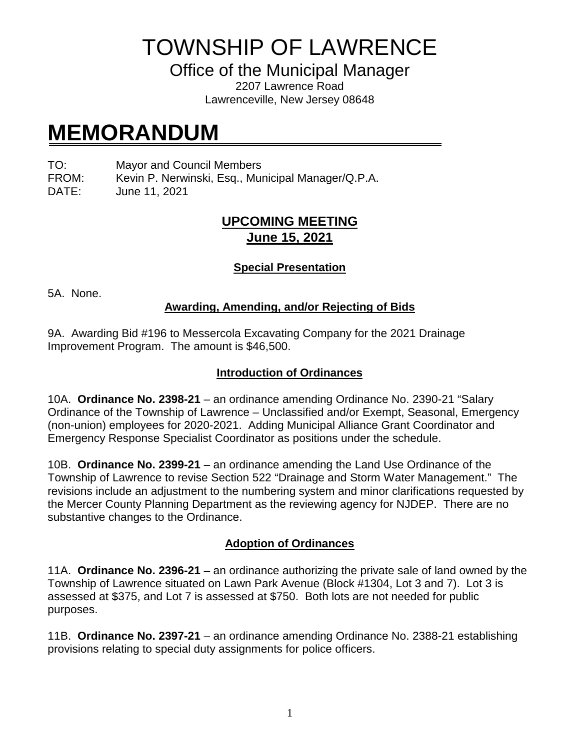TOWNSHIP OF LAWRENCE

Office of the Municipal Manager

2207 Lawrence Road Lawrenceville, New Jersey 08648

# **MEMORANDUM**

TO: Mayor and Council Members

FROM: Kevin P. Nerwinski, Esq., Municipal Manager/Q.P.A.

DATE: June 11, 2021

## **UPCOMING MEETING June 15, 2021**

### **Special Presentation**

5A. None.

#### **Awarding, Amending, and/or Rejecting of Bids**

9A. Awarding Bid #196 to Messercola Excavating Company for the 2021 Drainage Improvement Program. The amount is \$46,500.

#### **Introduction of Ordinances**

10A. **Ordinance No. 2398-21** – an ordinance amending Ordinance No. 2390-21 "Salary Ordinance of the Township of Lawrence – Unclassified and/or Exempt, Seasonal, Emergency (non-union) employees for 2020-2021. Adding Municipal Alliance Grant Coordinator and Emergency Response Specialist Coordinator as positions under the schedule.

10B. **Ordinance No. 2399-21** – an ordinance amending the Land Use Ordinance of the Township of Lawrence to revise Section 522 "Drainage and Storm Water Management." The revisions include an adjustment to the numbering system and minor clarifications requested by the Mercer County Planning Department as the reviewing agency for NJDEP. There are no substantive changes to the Ordinance.

#### **Adoption of Ordinances**

11A. **Ordinance No. 2396-21** – an ordinance authorizing the private sale of land owned by the Township of Lawrence situated on Lawn Park Avenue (Block #1304, Lot 3 and 7). Lot 3 is assessed at \$375, and Lot 7 is assessed at \$750. Both lots are not needed for public purposes.

11B. **Ordinance No. 2397-21** – an ordinance amending Ordinance No. 2388-21 establishing provisions relating to special duty assignments for police officers.